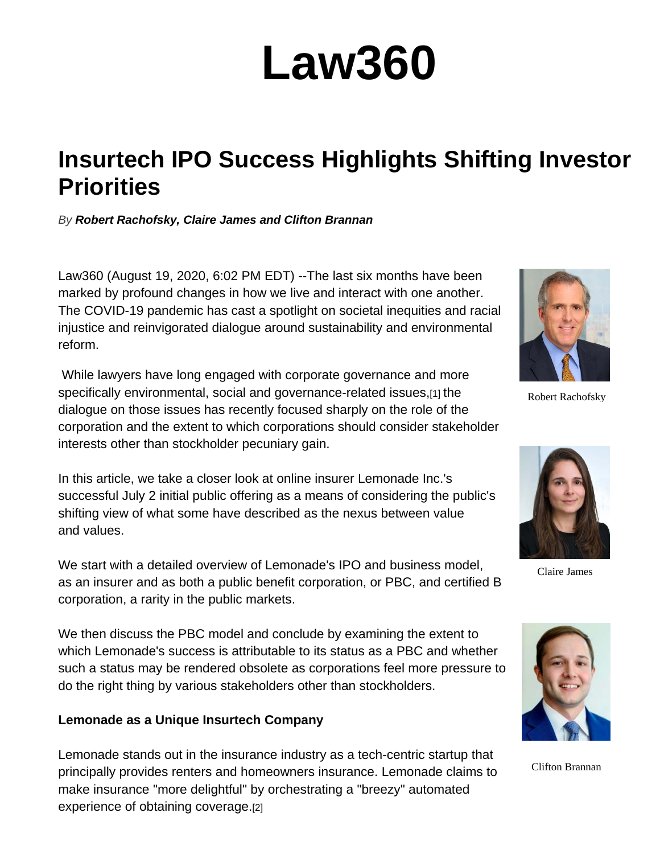# **Law360**

### **Insurtech IPO Success Highlights Shifting Investor Priorities**

*By Robert Rachofsky, Claire James and Clifton Brannan*

Law360 (August 19, 2020, 6:02 PM EDT) --The last six months have been marked by profound changes in how we live and interact with one another. The COVID-19 pandemic has cast a spotlight on societal inequities and racial injustice and reinvigorated dialogue around sustainability and environmental reform.

 While lawyers have long engaged with corporate governance and more specifically environmental, social and governance-related issues,[1] the dialogue on those issues has recently focused sharply on the role of the corporation and the extent to which corporations should consider stakeholder interests other than stockholder pecuniary gain.

In this article, we take a closer look at online insurer Lemonade Inc.'s successful July 2 initial public offering as a means of considering the public's shifting view of what some have described as the nexus between value and values.

We start with a detailed overview of Lemonade's IPO and business model, as an insurer and as both a public benefit corporation, or PBC, and certified B corporation, a rarity in the public markets.

We then discuss the PBC model and conclude by examining the extent to which Lemonade's success is attributable to its status as a PBC and whether such a status may be rendered obsolete as corporations feel more pressure to do the right thing by various stakeholders other than stockholders.

#### **Lemonade as a Unique Insurtech Company**

Lemonade stands out in the insurance industry as a tech-centric startup that principally provides renters and homeowners insurance. Lemonade claims to make insurance "more delightful" by orchestrating a "breezy" automated experience of obtaining coverage.[2]



Robert Rachofsky



Claire James



Clifton Brannan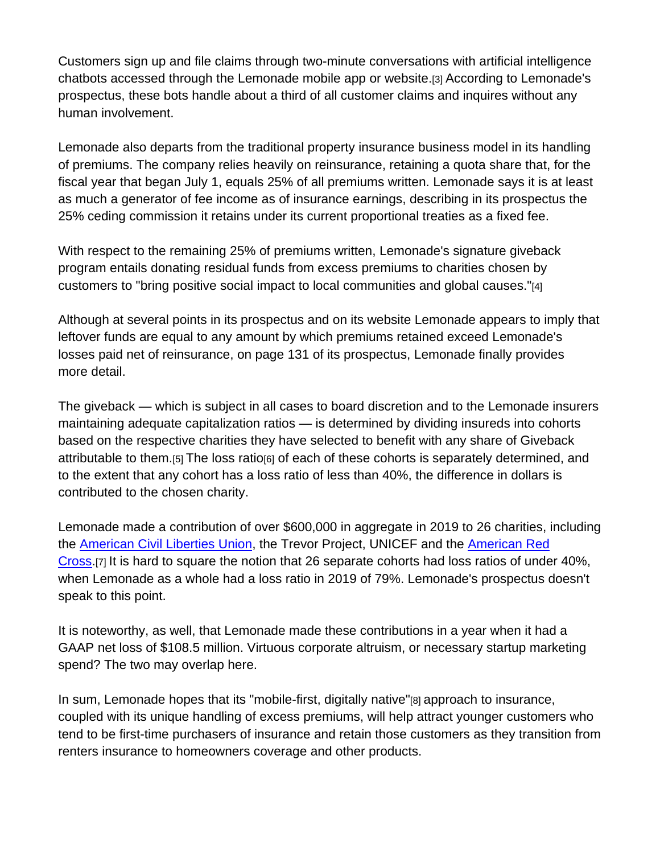Customers sign up and file claims through two-minute conversations with artificial intelligence chatbots accessed through the Lemonade mobile app or website.[3] According to Lemonade's prospectus, these bots handle about a third of all customer claims and inquires without any human involvement.

Lemonade also departs from the traditional property insurance business model in its handling of premiums. The company relies heavily on reinsurance, retaining a quota share that, for the fiscal year that began July 1, equals 25% of all premiums written. Lemonade says it is at least as much a generator of fee income as of insurance earnings, describing in its prospectus the 25% ceding commission it retains under its current proportional treaties as a fixed fee.

With respect to the remaining 25% of premiums written, Lemonade's signature giveback program entails donating residual funds from excess premiums to charities chosen by customers to "bring positive social impact to local communities and global causes."[4]

Although at several points in its prospectus and on its website Lemonade appears to imply that leftover funds are equal to any amount by which premiums retained exceed Lemonade's losses paid net of reinsurance, on page 131 of its prospectus, Lemonade finally provides more detail.

The giveback — which is subject in all cases to board discretion and to the Lemonade insurers maintaining adequate capitalization ratios — is determined by dividing insureds into cohorts based on the respective charities they have selected to benefit with any share of Giveback attributable to them.[5] The loss ratio[6] of each of these cohorts is separately determined, and to the extent that any cohort has a loss ratio of less than 40%, the difference in dollars is contributed to the chosen charity.

Lemonade made a contribution of over \$600,000 in aggregate in 2019 to 26 charities, including the American Civil Liberties Union, the Trevor Project, UNICEF and the American Red Cross.[7] It is hard to square the notion that 26 separate cohorts had loss ratios of under 40%, when Lemonade as a whole had a loss ratio in 2019 of 79%. Lemonade's prospectus doesn't speak to this point.

It is noteworthy, as well, that Lemonade made these contributions in a year when it had a GAAP net loss of \$108.5 million. Virtuous corporate altruism, or necessary startup marketing spend? The two may overlap here.

In sum, Lemonade hopes that its "mobile-first, digitally native"[8] approach to insurance, coupled with its unique handling of excess premiums, will help attract younger customers who tend to be first-time purchasers of insurance and retain those customers as they transition from renters insurance to homeowners coverage and other products.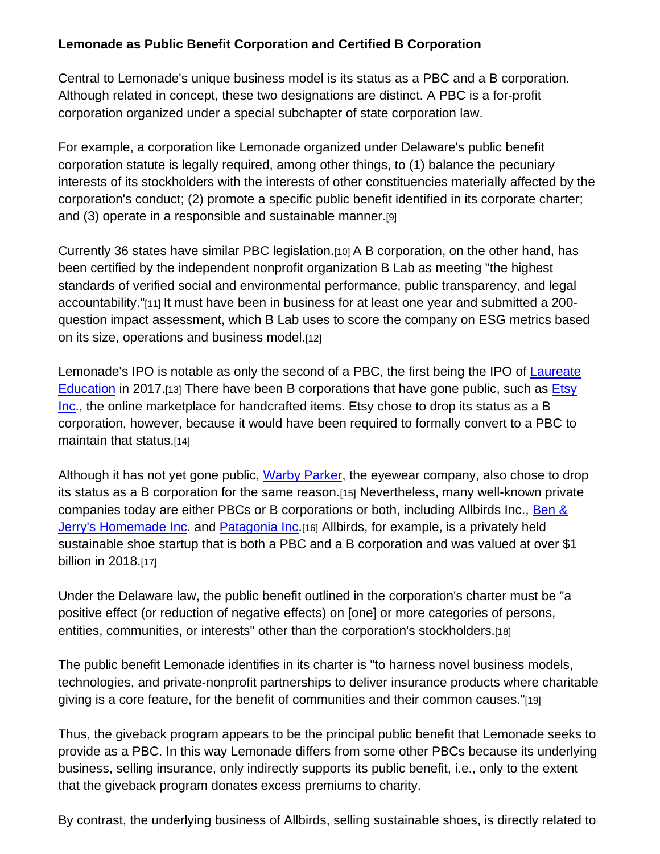#### **Lemonade as Public Benefit Corporation and Certified B Corporation**

Central to Lemonade's unique business model is its status as a PBC and a B corporation. Although related in concept, these two designations are distinct. A PBC is a for-profit corporation organized under a special subchapter of state corporation law.

For example, a corporation like Lemonade organized under Delaware's public benefit corporation statute is legally required, among other things, to (1) balance the pecuniary interests of its stockholders with the interests of other constituencies materially affected by the corporation's conduct; (2) promote a specific public benefit identified in its corporate charter; and (3) operate in a responsible and sustainable manner.[9]

Currently 36 states have similar PBC legislation.[10] A B corporation, on the other hand, has been certified by the independent nonprofit organization B Lab as meeting "the highest standards of verified social and environmental performance, public transparency, and legal accountability."[11] It must have been in business for at least one year and submitted a 200 question impact assessment, which B Lab uses to score the company on ESG metrics based on its size, operations and business model.[12]

Lemonade's IPO is notable as only the second of a PBC, the first being the IPO of Laureate Education in 2017.[13] There have been B corporations that have gone public, such as Etsy Inc., the online marketplace for handcrafted items. Etsy chose to drop its status as a B corporation, however, because it would have been required to formally convert to a PBC to maintain that status.[14]

Although it has not yet gone public, Warby Parker, the eyewear company, also chose to drop its status as a B corporation for the same reason.[15] Nevertheless, many well-known private companies today are either PBCs or B corporations or both, including Allbirds Inc., Ben & Jerry's Homemade Inc. and Patagonia Inc. [16] Allbirds, for example, is a privately held sustainable shoe startup that is both a PBC and a B corporation and was valued at over \$1 billion in 2018.[17]

Under the Delaware law, the public benefit outlined in the corporation's charter must be "a positive effect (or reduction of negative effects) on [one] or more categories of persons, entities, communities, or interests" other than the corporation's stockholders.[18]

The public benefit Lemonade identifies in its charter is "to harness novel business models, technologies, and private-nonprofit partnerships to deliver insurance products where charitable giving is a core feature, for the benefit of communities and their common causes."[19]

Thus, the giveback program appears to be the principal public benefit that Lemonade seeks to provide as a PBC. In this way Lemonade differs from some other PBCs because its underlying business, selling insurance, only indirectly supports its public benefit, i.e., only to the extent that the giveback program donates excess premiums to charity.

By contrast, the underlying business of Allbirds, selling sustainable shoes, is directly related to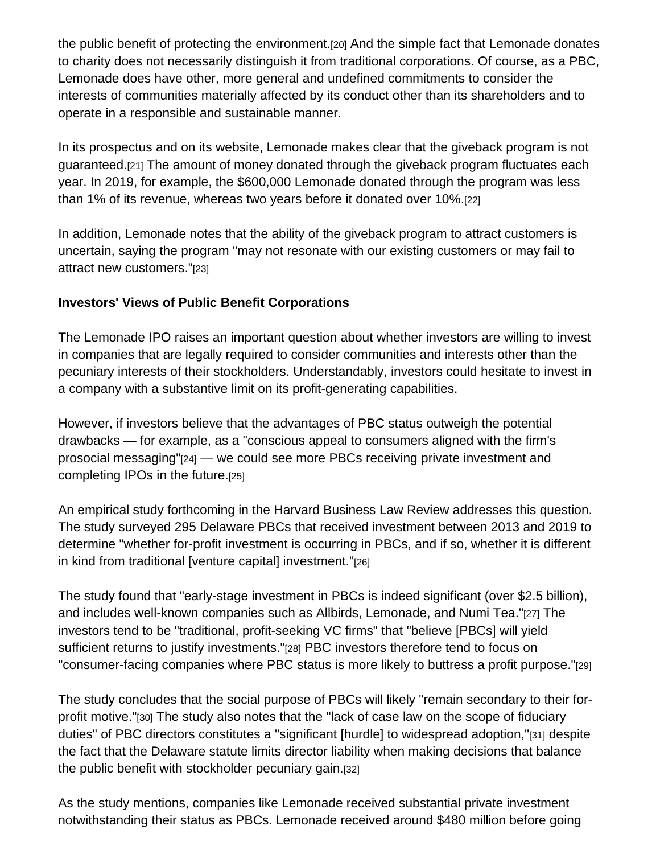the public benefit of protecting the environment.[20] And the simple fact that Lemonade donates to charity does not necessarily distinguish it from traditional corporations. Of course, as a PBC, Lemonade does have other, more general and undefined commitments to consider the interests of communities materially affected by its conduct other than its shareholders and to operate in a responsible and sustainable manner.

In its prospectus and on its website, Lemonade makes clear that the giveback program is not guaranteed.[21] The amount of money donated through the giveback program fluctuates each year. In 2019, for example, the \$600,000 Lemonade donated through the program was less than 1% of its revenue, whereas two years before it donated over 10%.[22]

In addition, Lemonade notes that the ability of the giveback program to attract customers is uncertain, saying the program "may not resonate with our existing customers or may fail to attract new customers."[23]

#### **Investors' Views of Public Benefit Corporations**

The Lemonade IPO raises an important question about whether investors are willing to invest in companies that are legally required to consider communities and interests other than the pecuniary interests of their stockholders. Understandably, investors could hesitate to invest in a company with a substantive limit on its profit-generating capabilities.

However, if investors believe that the advantages of PBC status outweigh the potential drawbacks — for example, as a "conscious appeal to consumers aligned with the firm's prosocial messaging"[24] — we could see more PBCs receiving private investment and completing IPOs in the future.[25]

An empirical study forthcoming in the Harvard Business Law Review addresses this question. The study surveyed 295 Delaware PBCs that received investment between 2013 and 2019 to determine "whether for-profit investment is occurring in PBCs, and if so, whether it is different in kind from traditional [venture capital] investment."[26]

The study found that "early-stage investment in PBCs is indeed significant (over \$2.5 billion), and includes well-known companies such as Allbirds, Lemonade, and Numi Tea."[27] The investors tend to be "traditional, profit-seeking VC firms" that "believe [PBCs] will yield sufficient returns to justify investments."[28] PBC investors therefore tend to focus on "consumer-facing companies where PBC status is more likely to buttress a profit purpose."[29]

The study concludes that the social purpose of PBCs will likely "remain secondary to their forprofit motive."[30] The study also notes that the "lack of case law on the scope of fiduciary duties" of PBC directors constitutes a "significant [hurdle] to widespread adoption,"[31] despite the fact that the Delaware statute limits director liability when making decisions that balance the public benefit with stockholder pecuniary gain.[32]

As the study mentions, companies like Lemonade received substantial private investment notwithstanding their status as PBCs. Lemonade received around \$480 million before going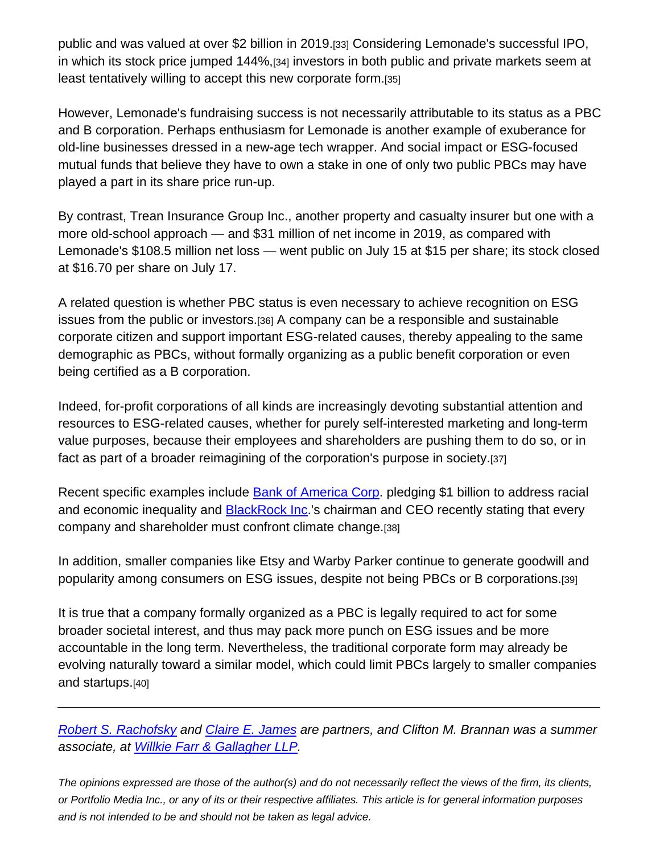public and was valued at over \$2 billion in 2019.[33] Considering Lemonade's successful IPO, in which its stock price jumped 144%,[34] investors in both public and private markets seem at least tentatively willing to accept this new corporate form.[35]

However, Lemonade's fundraising success is not necessarily attributable to its status as a PBC and B corporation. Perhaps enthusiasm for Lemonade is another example of exuberance for old-line businesses dressed in a new-age tech wrapper. And social impact or ESG-focused mutual funds that believe they have to own a stake in one of only two public PBCs may have played a part in its share price run-up.

By contrast, Trean Insurance Group Inc., another property and casualty insurer but one with a more old-school approach — and \$31 million of net income in 2019, as compared with Lemonade's \$108.5 million net loss — went public on July 15 at \$15 per share; its stock closed at \$16.70 per share on July 17.

A related question is whether PBC status is even necessary to achieve recognition on ESG issues from the public or investors.[36] A company can be a responsible and sustainable corporate citizen and support important ESG-related causes, thereby appealing to the same demographic as PBCs, without formally organizing as a public benefit corporation or even being certified as a B corporation.

Indeed, for-profit corporations of all kinds are increasingly devoting substantial attention and resources to ESG-related causes, whether for purely self-interested marketing and long-term value purposes, because their employees and shareholders are pushing them to do so, or in fact as part of a broader reimagining of the corporation's purpose in society.[37]

Recent specific examples include Bank of America Corp. pledging \$1 billion to address racial and economic inequality and **BlackRock Inc**.'s chairman and CEO recently stating that every company and shareholder must confront climate change.[38]

In addition, smaller companies like Etsy and Warby Parker continue to generate goodwill and popularity among consumers on ESG issues, despite not being PBCs or B corporations.[39]

It is true that a company formally organized as a PBC is legally required to act for some broader societal interest, and thus may pack more punch on ESG issues and be more accountable in the long term. Nevertheless, the traditional corporate form may already be evolving naturally toward a similar model, which could limit PBCs largely to smaller companies and startups.[40]

*Robert S. Rachofsky and Claire E. James are partners, and Clifton M. Brannan was a summer associate, at Willkie Farr & Gallagher LLP.*

*The opinions expressed are those of the author(s) and do not necessarily reflect the views of the firm, its clients, or Portfolio Media Inc., or any of its or their respective affiliates. This article is for general information purposes and is not intended to be and should not be taken as legal advice.*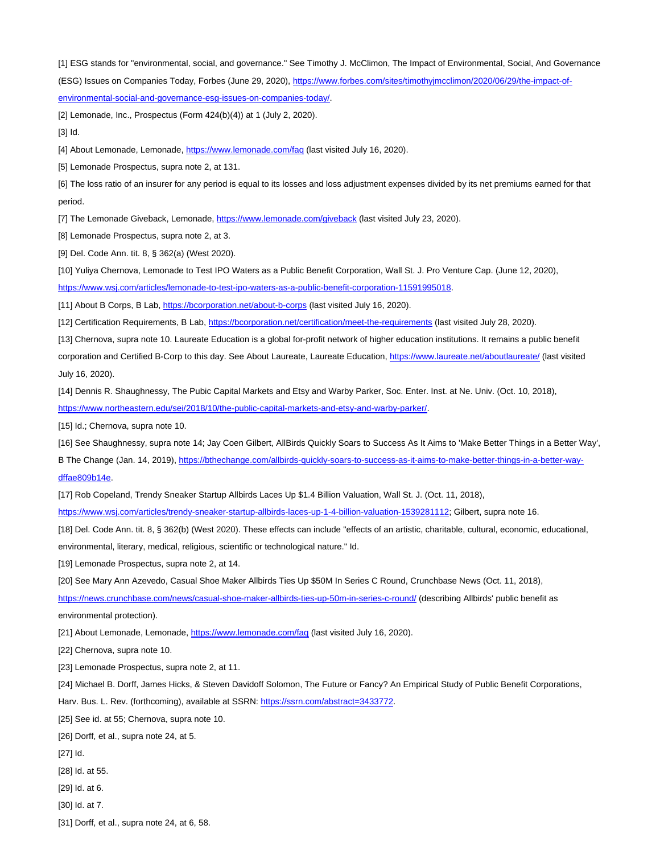[1] ESG stands for "environmental, social, and governance." See Timothy J. McClimon, The Impact of Environmental, Social, And Governance (ESG) Issues on Companies Today, Forbes (June 29, 2020), https://www.forbes.com/sites/timothyjmcclimon/2020/06/29/the-impact-ofenvironmental-social-and-governance-esg-issues-on-companies-today/.

[2] Lemonade, Inc., Prospectus (Form 424(b)(4)) at 1 (July 2, 2020).

[3] Id.

[4] About Lemonade, Lemonade, https://www.lemonade.com/faq (last visited July 16, 2020).

[5] Lemonade Prospectus, supra note 2, at 131.

[6] The loss ratio of an insurer for any period is equal to its losses and loss adjustment expenses divided by its net premiums earned for that period.

[7] The Lemonade Giveback, Lemonade, https://www.lemonade.com/giveback (last visited July 23, 2020).

[8] Lemonade Prospectus, supra note 2, at 3.

[9] Del. Code Ann. tit. 8, § 362(a) (West 2020).

[10] Yuliya Chernova, Lemonade to Test IPO Waters as a Public Benefit Corporation, Wall St. J. Pro Venture Cap. (June 12, 2020),

https://www.wsj.com/articles/lemonade-to-test-ipo-waters-as-a-public-benefit-corporation-11591995018.

[11] About B Corps, B Lab, https://bcorporation.net/about-b-corps (last visited July 16, 2020).

[12] Certification Requirements, B Lab, https://bcorporation.net/certification/meet-the-requirements (last visited July 28, 2020).

[13] Chernova, supra note 10. Laureate Education is a global for-profit network of higher education institutions. It remains a public benefit corporation and Certified B-Corp to this day. See About Laureate, Laureate Education, https://www.laureate.net/aboutlaureate/ (last visited July 16, 2020).

[14] Dennis R. Shaughnessy, The Pubic Capital Markets and Etsy and Warby Parker, Soc. Enter. Inst. at Ne. Univ. (Oct. 10, 2018), https://www.northeastern.edu/sei/2018/10/the-public-capital-markets-and-etsy-and-warby-parker/.

[15] Id.; Chernova, supra note 10.

[16] See Shaughnessy, supra note 14; Jay Coen Gilbert, AllBirds Quickly Soars to Success As It Aims to 'Make Better Things in a Better Way',

B The Change (Jan. 14, 2019), https://bthechange.com/allbirds-quickly-soars-to-success-as-it-aims-to-make-better-things-in-a-better-waydffae809b14e.

[17] Rob Copeland, Trendy Sneaker Startup Allbirds Laces Up \$1.4 Billion Valuation, Wall St. J. (Oct. 11, 2018),

https://www.wsj.com/articles/trendy-sneaker-startup-allbirds-laces-up-1-4-billion-valuation-1539281112; Gilbert, supra note 16.

[18] Del. Code Ann. tit. 8, § 362(b) (West 2020). These effects can include "effects of an artistic, charitable, cultural, economic, educational,

environmental, literary, medical, religious, scientific or technological nature." Id.

[19] Lemonade Prospectus, supra note 2, at 14.

[20] See Mary Ann Azevedo, Casual Shoe Maker Allbirds Ties Up \$50M In Series C Round, Crunchbase News (Oct. 11, 2018),

https://news.crunchbase.com/news/casual-shoe-maker-allbirds-ties-up-50m-in-series-c-round/ (describing Allbirds' public benefit as environmental protection).

[21] About Lemonade, Lemonade, https://www.lemonade.com/faq (last visited July 16, 2020).

[22] Chernova, supra note 10.

[23] Lemonade Prospectus, supra note 2, at 11.

[24] Michael B. Dorff, James Hicks, & Steven Davidoff Solomon, The Future or Fancy? An Empirical Study of Public Benefit Corporations,

Harv. Bus. L. Rev. (forthcoming), available at SSRN: https://ssrn.com/abstract=3433772.

[25] See id. at 55; Chernova, supra note 10.

[26] Dorff, et al., supra note 24, at 5.

[27] Id.

- [28] Id. at 55.
- [29] Id. at 6.
- [30] Id. at 7.
- [31] Dorff, et al., supra note 24, at 6, 58.